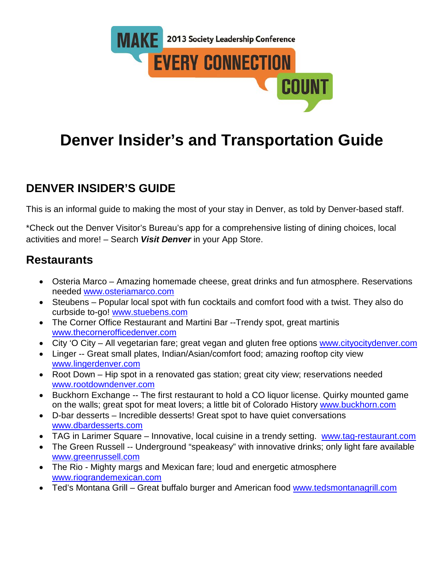

# **Denver Insider's and Transportation Guide**

# **DENVER INSIDER'S GUIDE**

This is an informal guide to making the most of your stay in Denver, as told by Denver-based staff.

\*Check out the Denver Visitor's Bureau's app for a comprehensive listing of dining choices, local activities and more! – Search *Visit Denver* in your App Store.

### **Restaurants**

- Osteria Marco Amazing homemade cheese, great drinks and fun atmosphere. Reservations needed [www.osteriamarco.com](http://www.osteriamarco.com/)
- Steubens Popular local spot with fun cocktails and comfort food with a twist. They also do curbside to-go! [www.stuebens.com](http://www.stuebens.com/)
- The Corner Office Restaurant and Martini Bar --Trendy spot, great martinis [www.thecornerofficedenver.com](http://www.thecornerofficedenver.com/)
- City 'O City All vegetarian fare; great vegan and gluten free options [www.cityocitydenver.com](http://www.cityocitydenver.com/)
- Linger -- Great small plates, Indian/Asian/comfort food; amazing rooftop city view [www.lingerdenver.com](http://www.lingerdenver.com/)
- Root Down Hip spot in a renovated gas station; great city view; reservations needed [www.rootdowndenver.com](http://www.rootdowndenver.com/)
- Buckhorn Exchange -- The first restaurant to hold a CO liquor license. Quirky mounted game on the walls; great spot for meat lovers; a little bit of Colorado History [www.buckhorn.com](http://www.buckhorn.com/)
- D-bar desserts Incredible desserts! Great spot to have quiet conversations [www.dbardesserts.com](http://www.dbardesserts.com/)
- TAG in Larimer Square Innovative, local cuisine in a trendy setting. [www.tag-restaurant.com](http://www.tag-restaurant.com/)
- The Green Russell -- Underground "speakeasy" with innovative drinks; only light fare available [www.greenrussell.com](http://www.greenrussell.com/)
- The Rio Mighty margs and Mexican fare; loud and energetic atmosphere [www.riograndemexican.com](http://www.riograndemexican.com/)
- Ted's Montana Grill Great buffalo burger and American food [www.tedsmontanagrill.com](http://www.tedsmontanagrill.com/)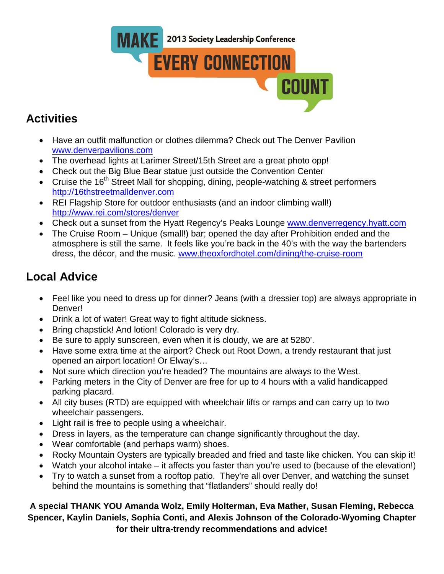

## **Activities**

- Have an outfit malfunction or clothes dilemma? Check out The Denver Pavilion [www.denverpavilions.com](http://www.denverpavilions.com/)
- The overhead lights at Larimer Street/15th Street are a great photo opp!
- Check out the Big Blue Bear statue just outside the Convention Center
- Cruise the  $16<sup>th</sup>$  Street Mall for shopping, dining, people-watching & street performers [http://16thstreetmalldenver.com](http://16thstreetmalldenver.com/)
- REI Flagship Store for outdoor enthusiasts (and an indoor climbing wall!) <http://www.rei.com/stores/denver>
- Check out a sunset from the Hyatt Regency's Peaks Lounge [www.denverregency.hyatt.com](http://www.denverregency.hyatt.com/)
- The Cruise Room Unique (small!) bar; opened the day after Prohibition ended and the atmosphere is still the same. It feels like you're back in the 40's with the way the bartenders dress, the décor, and the music. [www.theoxfordhotel.com/dining/the-cruise-room](http://www.theoxfordhotel.com/dining/the-cruise-room)

### **Local Advice**

- Feel like you need to dress up for dinner? Jeans (with a dressier top) are always appropriate in Denver!
- Drink a lot of water! Great way to fight altitude sickness.
- Bring chapstick! And lotion! Colorado is very dry.
- Be sure to apply sunscreen, even when it is cloudy, we are at 5280'.
- Have some extra time at the airport? Check out Root Down, a trendy restaurant that just opened an airport location! Or Elway's…
- Not sure which direction you're headed? The mountains are always to the West.
- Parking meters in the City of Denver are free for up to 4 hours with a valid handicapped parking placard.
- All city buses (RTD) are equipped with wheelchair lifts or ramps and can carry up to two wheelchair passengers.
- Light rail is free to people using a wheelchair.
- Dress in layers, as the temperature can change significantly throughout the day.
- Wear comfortable (and perhaps warm) shoes.
- Rocky Mountain Oysters are typically breaded and fried and taste like chicken. You can skip it!
- Watch your alcohol intake it affects you faster than you're used to (because of the elevation!)
- Try to watch a sunset from a rooftop patio. They're all over Denver, and watching the sunset behind the mountains is something that "flatlanders" should really do!

#### **A special THANK YOU Amanda Wolz, Emily Holterman, Eva Mather, Susan Fleming, Rebecca Spencer, Kaylin Daniels, Sophia Conti, and Alexis Johnson of the Colorado-Wyoming Chapter for their ultra-trendy recommendations and advice!**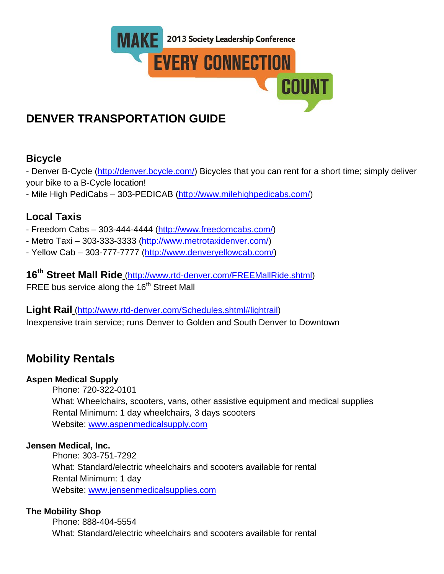

## **DENVER TRANSPORTATION GUIDE**

### **Bicycle**

- Denver B-Cycle [\(http://denver.bcycle.com/\)](http://denver.bcycle.com/) Bicycles that you can rent for a short time; simply deliver your bike to a B-Cycle location!

- Mile High PediCabs – 303-PEDICAB [\(http://www.milehighpedicabs.com/\)](http://www.milehighpedicabs.com/)

### **Local Taxis**

- Freedom Cabs 303-444-4444 [\(http://www.freedomcabs.com/\)](http://www.freedomcabs.com/)
- Metro Taxi 303-333-3333 [\(http://www.metrotaxidenver.com/\)](http://www.metrotaxidenver.com/)
- Yellow Cab 303-777-7777 [\(http://www.denveryellowcab.com/\)](http://www.denveryellowcab.com/)

**16th Street Mall Ride** [\(http://www.rtd-denver.com/FREEMallRide.shtml\)](http://www.rtd-denver.com/FREEMallRide.shtml) FREE bus service along the 16<sup>th</sup> Street Mall

#### **Light Rail** [\(http://www.rtd-denver.com/Schedules.shtml#lightrail\)](http://www.rtd-denver.com/Schedules.shtml#lightrail) Inexpensive train service; runs Denver to Golden and South Denver to Downtown

### **Mobility Rentals**

#### **Aspen Medical Supply**

Phone: 720-322-0101

What: Wheelchairs, scooters, vans, other assistive equipment and medical supplies Rental Minimum: 1 day wheelchairs, 3 days scooters Website: [www.aspenmedicalsupply.com](http://www.aspenmedicalsupply.com/)

#### **Jensen Medical, Inc.**

Phone: 303-751-7292 What: Standard/electric wheelchairs and scooters available for rental Rental Minimum: 1 day Website: [www.jensenmedicalsupplies.com](http://www.jensenmedicalsupplies.com/)

#### **The Mobility Shop**

Phone: 888-404-5554 What: Standard/electric wheelchairs and scooters available for rental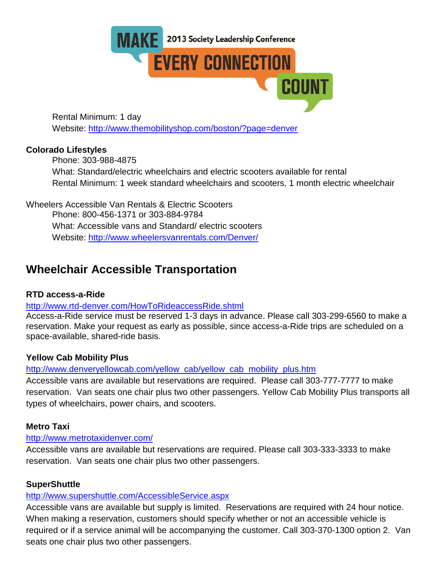

Rental Minimum: 1 day Website:<http://www.themobilityshop.com/boston/?page=denver>

#### **Colorado Lifestyles**

Phone: 303-988-4875 What: Standard/electric wheelchairs and electric scooters available for rental Rental Minimum: 1 week standard wheelchairs and scooters, 1 month electric wheelchair

Wheelers Accessible Van Rentals & Electric Scooters Phone: 800-456-1371 or 303-884-9784 What: Accessible vans and Standard/ electric scooters Website:<http://www.wheelersvanrentals.com/Denver/>

### **Wheelchair Accessible Transportation**

#### **RTD access-a-Ride**

#### <http://www.rtd-denver.com/HowToRideaccessRide.shtml>

Access-a-Ride service must be reserved 1-3 days in advance. Please call 303-299-6560 to make a reservation. Make your request as early as possible, since access-a-Ride trips are scheduled on a space-available, shared-ride basis.

#### **Yellow Cab Mobility Plus**

[http://www.denveryellowcab.com/yellow\\_cab/yellow\\_cab\\_mobility\\_plus.htm](http://www.denveryellowcab.com/yellow_cab/yellow_cab_mobility_plus.htm)

Accessible vans are available but reservations are required. Please call 303-777-7777 to make reservation. Van seats one chair plus two other passengers. Yellow Cab Mobility Plus transports all types of wheelchairs, power chairs, and scooters.

#### **Metro Taxi**

#### <http://www.metrotaxidenver.com/>

Accessible vans are available but reservations are required. Please call 303-333-3333 to make reservation. Van seats one chair plus two other passengers.

#### **SuperShuttle**

#### <http://www.supershuttle.com/AccessibleService.aspx>

Accessible vans are available but supply is limited. Reservations are required with 24 hour notice. When making a reservation, customers should specify whether or not an accessible vehicle is required or if a service animal will be accompanying the customer. Call 303-370-1300 option 2. Van seats one chair plus two other passengers.